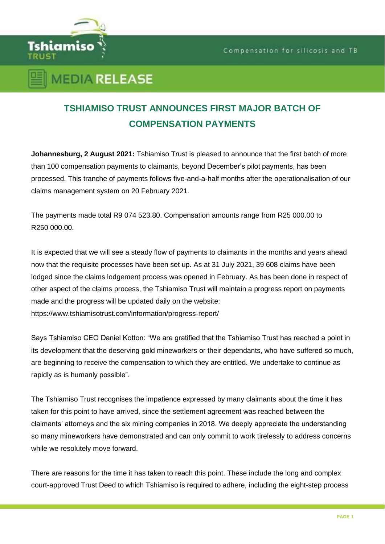

## **TSHIAMISO TRUST ANNOUNCES FIRST MAJOR BATCH OF COMPENSATION PAYMENTS**

**Johannesburg, 2 August 2021:** Tshiamiso Trust is pleased to announce that the first batch of more than 100 compensation payments to claimants, beyond December's pilot payments, has been processed. This tranche of payments follows five-and-a-half months after the operationalisation of our claims management system on 20 February 2021.

The payments made total R9 074 523.80. Compensation amounts range from R25 000.00 to R250 000.00.

It is expected that we will see a steady flow of payments to claimants in the months and years ahead now that the requisite processes have been set up. As at 31 July 2021, 39 608 claims have been lodged since the claims lodgement process was opened in February. As has been done in respect of other aspect of the claims process, the Tshiamiso Trust will maintain a progress report on payments made and the progress will be updated daily on the website:

<https://www.tshiamisotrust.com/information/progress-report/>

Says Tshiamiso CEO Daniel Kotton: "We are gratified that the Tshiamiso Trust has reached a point in its development that the deserving gold mineworkers or their dependants, who have suffered so much, are beginning to receive the compensation to which they are entitled. We undertake to continue as rapidly as is humanly possible".

The Tshiamiso Trust recognises the impatience expressed by many claimants about the time it has taken for this point to have arrived, since the settlement agreement was reached between the claimants' attorneys and the six mining companies in 2018. We deeply appreciate the understanding so many mineworkers have demonstrated and can only commit to work tirelessly to address concerns while we resolutely move forward.

There are reasons for the time it has taken to reach this point. These include the long and complex court-approved Trust Deed to which Tshiamiso is required to adhere, including the eight-step process